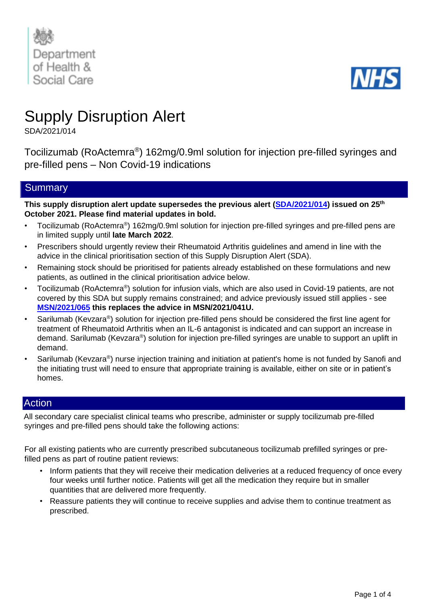



# Supply Disruption Alert

SDA/2021/014

Tocilizumab (RoActemra® ) 162mg/0.9ml solution for injection pre-filled syringes and pre-filled pens – Non Covid-19 indications

## **Summary**

**This supply disruption alert update supersedes the previous alert [\(SDA/2021/014\)](https://www.cas.mhra.gov.uk/ViewandAcknowledgment/ViewAttachment.aspx?Attachment_id=103849) issued on 25th October 2021. Please find material updates in bold.**

- Tocilizumab (RoActemra®) 162mg/0.9ml solution for injection pre-filled syringes and pre-filled pens are in limited supply until **late March 2022**.
- Prescribers should urgently review their Rheumatoid Arthritis guidelines and amend in line with the advice in the clinical prioritisation section of this Supply Disruption Alert (SDA).
- Remaining stock should be prioritised for patients already established on these formulations and new patients, as outlined in the clinical prioritisation advice below.
- Tocilizumab (RoActemra®) solution for infusion vials, which are also used in Covid-19 patients, are not covered by this SDA but supply remains constrained; and advice previously issued still applies - see **[MSN/2021/065](https://www.sps.nhs.uk/shortages/shortage-of-interleukin-6-inhibitors-sarilumab-and-tocilizumab-for-the-treatment-of-covid-19/) this replaces the advice in MSN/2021/041U.**
- Sarilumab (Kevzara®) solution for injection pre-filled pens should be considered the first line agent for treatment of Rheumatoid Arthritis when an IL-6 antagonist is indicated and can support an increase in demand. Sarilumab (Kevzara®) solution for injection pre-filled syringes are unable to support an uplift in demand.
- Sarilumab (Kevzara®) nurse injection training and initiation at patient's home is not funded by Sanofi and the initiating trust will need to ensure that appropriate training is available, either on site or in patient's homes.

## Action

All secondary care specialist clinical teams who prescribe, administer or supply tocilizumab pre-filled syringes and pre-filled pens should take the following actions:

For all existing patients who are currently prescribed subcutaneous tocilizumab prefilled syringes or prefilled pens as part of routine patient reviews:

- Inform patients that they will receive their medication deliveries at a reduced frequency of once every four weeks until further notice. Patients will get all the medication they require but in smaller quantities that are delivered more frequently.
- Reassure patients they will continue to receive supplies and advise them to continue treatment as prescribed.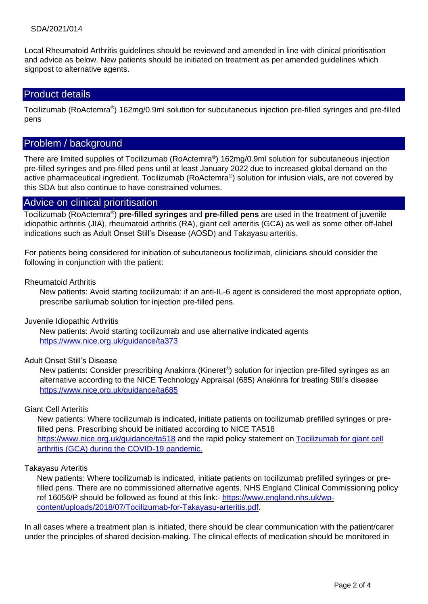#### SDA/2021/014

Local Rheumatoid Arthritis guidelines should be reviewed and amended in line with clinical prioritisation and advice as below. New patients should be initiated on treatment as per amended guidelines which signpost to alternative agents.

## Product details

Tocilizumab (RoActemra®) 162mg/0.9ml solution for subcutaneous injection pre-filled syringes and pre-filled pens

## Problem / background

There are limited supplies of Tocilizumab (RoActemra®) 162mg/0.9ml solution for subcutaneous injection pre-filled syringes and pre-filled pens until at least January 2022 due to increased global demand on the active pharmaceutical ingredient. Tocilizumab (RoActemra®) solution for infusion vials, are not covered by this SDA but also continue to have constrained volumes.

#### Advice on clinical prioritisation

Tocilizumab (RoActemra® ) **pre-filled syringes** and **pre-filled pens** are used in the treatment of juvenile idiopathic arthritis (JIA), rheumatoid arthritis (RA), giant cell arteritis (GCA) as well as some other off-label indications such as Adult Onset Still's Disease (AOSD) and Takayasu arteritis.

For patients being considered for initiation of subcutaneous tocilizimab, clinicians should consider the following in conjunction with the patient:

#### Rheumatoid Arthritis

New patients: Avoid starting tocilizumab: if an anti-IL-6 agent is considered the most appropriate option, prescribe sarilumab solution for injection pre-filled pens.

#### Juvenile Idiopathic Arthritis

New patients: Avoid starting tocilizumab and use alternative indicated agents <https://www.nice.org.uk/guidance/ta373>

#### Adult Onset Still's Disease

New patients: Consider prescribing Anakinra (Kineret®) solution for injection pre-filled syringes as an alternative according to the NICE Technology Appraisal (685) Anakinra for treating Still's disease <https://www.nice.org.uk/guidance/ta685>

#### Giant Cell Arteritis

New patients: Where tocilizumab is indicated, initiate patients on tocilizumab prefilled syringes or prefilled pens. Prescribing should be initiated according to NICE TA518 <https://www.nice.org.uk/guidance/ta518> and the rapid policy statement on Tocilizumab for giant cell [arthritis \(GCA\) during the COVID-19 pandemic.](https://www.england.nhs.uk/coronavirus/wp-content/uploads/sites/52/2020/07/C1367_RPS-tocilizumab-for-GCA-during-the-COVID-19-pandemic_v3.pdf) 

#### Takayasu Arteritis

New patients: Where tocilizumab is indicated, initiate patients on tocilizumab prefilled syringes or prefilled pens. There are no commissioned alternative agents. NHS England Clinical Commissioning policy ref 16056/P should be followed as found at this link:- [https://www.england.nhs.uk/wp](https://www.england.nhs.uk/wp-content/uploads/2018/07/Tocilizumab-for-Takayasu-arteritis.pdf)[content/uploads/2018/07/Tocilizumab-for-Takayasu-arteritis.pdf.](https://www.england.nhs.uk/wp-content/uploads/2018/07/Tocilizumab-for-Takayasu-arteritis.pdf)

In all cases where a treatment plan is initiated, there should be clear communication with the patient/carer under the principles of shared decision-making. The clinical effects of medication should be monitored in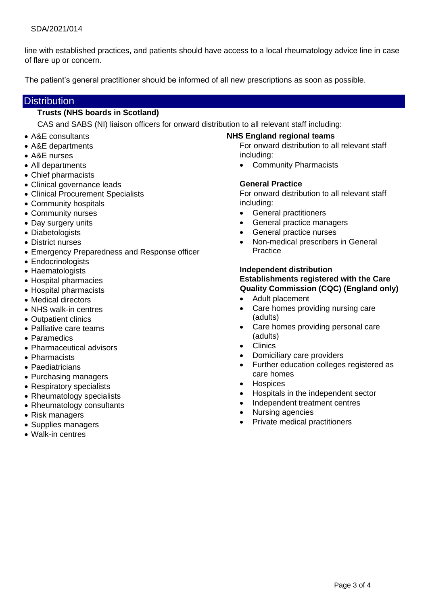line with established practices, and patients should have access to a local rheumatology advice line in case of flare up or concern.

The patient's general practitioner should be informed of all new prescriptions as soon as possible.

## **Distribution**

#### **Trusts (NHS boards in Scotland)**

CAS and SABS (NI) liaison officers for onward distribution to all relevant staff including:

- A&E consultants
- A&E departments
- A&E nurses
- All departments
- Chief pharmacists
- Clinical governance leads
- Clinical Procurement Specialists
- Community hospitals
- Community nurses
- Day surgery units
- Diabetologists
- District nurses
- Emergency Preparedness and Response officer
- Endocrinologists
- Haematologists
- Hospital pharmacies
- Hospital pharmacists
- Medical directors
- NHS walk-in centres
- Outpatient clinics
- Palliative care teams
- Paramedics
- Pharmaceutical advisors
- Pharmacists
- Paediatricians
- Purchasing managers
- Respiratory specialists
- Rheumatology specialists
- Rheumatology consultants
- Risk managers
- Supplies managers
- Walk-in centres

#### **NHS England regional teams**

For onward distribution to all relevant staff including:

• Community Pharmacists

#### **General Practice**

For onward distribution to all relevant staff including:

- General practitioners
- General practice managers
- General practice nurses
- Non-medical prescribers in General Practice

### **Independent distribution Establishments registered with the Care Quality Commission (CQC) (England only)**

- Adult placement
- Care homes providing nursing care (adults)
- Care homes providing personal care (adults)
- **Clinics**
- Domiciliary care providers
- Further education colleges registered as care homes
- **Hospices**
- Hospitals in the independent sector
- Independent treatment centres
- Nursing agencies
- Private medical practitioners